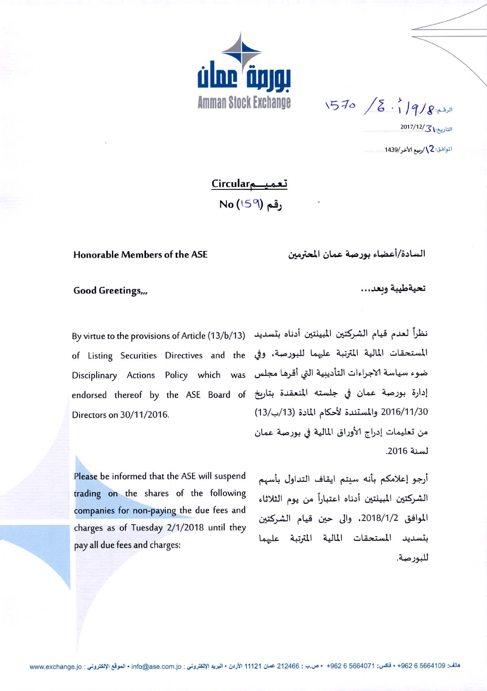

الرفم:4/9/16 / 570

التاريخ: 13/17/12/

الموافق: 2 / ربيع الآخر/1439.

تعمیـــمCircular No (159) وقم

## Honorable Members of the ASE

السادة/أعضاء بورصة عمان المعترمين

## Good Greetings,,,

المستحقات المالية المترتبة عليهما للبورصة، وفي of Listing Securities Directives and the ضوء سياسة الاجراءات التأديبية التي أقرها مجلس Disciplinary Actions Policy which was إدارة بورصة عمان في جلسته المنعقدة بتاريخ endorsed thereof by the ASE Board of Directors on 30/11/2016.

Please be informed that the ASE will suspend trading on the shares of the following companies for non-paying the due fees and charges as of Tuesday 2/1/2018 until they pay all due fees and charges:

تحيةطيبة وبعد،،،

نظراً لعدم قيام الشركتين المبينتين أدناه بتسديد By virtue to the provisions of Article (13/b/13) 2016/11/30 والمستندة لأحكام المادة (13/ب/13) من تعليمات إدراج الأوراق المالية في بورصة عمان لسنة 2016.

> أرجو إعلامكم بأنه سبتم ايقاف التداول بأسهم الشركتين المبينتين أدناه اعتباراً من يوم الثلاثاء الموافق 2018/1/2، والى حين قيام الشركتين بتسديد المستحقات المالية المترتبة عليهما للبورصة.